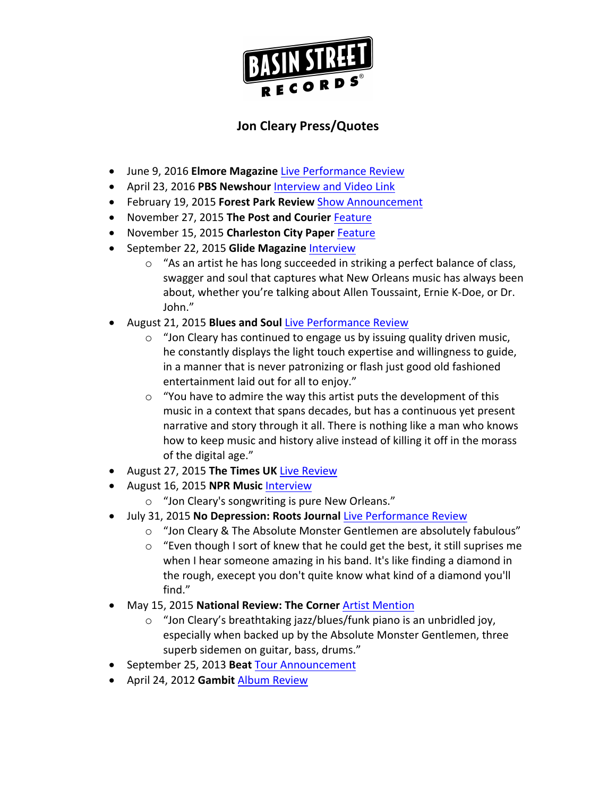

## **Jon Cleary Press/Quotes**

- **•** June 9, 2016 **Elmore Magazine** Live Performance Review
- April 23, 2016 PBS Newshour Interview and Video Link
- **•** February 19, 2015 **Forest Park Review Show Announcement**
- November 27, 2015 The Post and Courier Feature
- November 15, 2015 Charleston City Paper Feature
- **•** September 22, 2015 Glide Magazine Interview
	- $\circ$  "As an artist he has long succeeded in striking a perfect balance of class, swagger and soul that captures what New Orleans music has always been about, whether you're talking about Allen Toussaint, Ernie K-Doe, or Dr. John."
- August 21, 2015 **Blues and Soul Live Performance Review** 
	- $\circ$  "Jon Cleary has continued to engage us by issuing quality driven music, he constantly displays the light touch expertise and willingness to guide, in a manner that is never patronizing or flash just good old fashioned entertainment laid out for all to enjoy."
	- $\circ$  "You have to admire the way this artist puts the development of this music in a context that spans decades, but has a continuous yet present narrative and story through it all. There is nothing like a man who knows how to keep music and history alive instead of killing it off in the morass of the digital age."
- August 27, 2015 The Times UK Live Review
- August 16, 2015 **NPR Music Interview** 
	- $\circ$  "Jon Cleary's songwriting is pure New Orleans."
- July 31, 2015 No Depression: Roots Journal Live Performance Review
	- o "Jon Cleary & The Absolute Monster Gentlemen are absolutely fabulous"
	- $\circ$  "Even though I sort of knew that he could get the best, it still suprises me when I hear someone amazing in his band. It's like finding a diamond in the rough, execept you don't quite know what kind of a diamond you'll find."
- May 15, 2015 **National Review: The Corner** Artist Mention
	- $\circ$  "Jon Cleary's breathtaking jazz/blues/funk piano is an unbridled joy, especially when backed up by the Absolute Monster Gentlemen, three superb sidemen on guitar, bass, drums."
- September 25, 2013 **Beat** Tour Announcement
- April 24, 2012 Gambit Album Review